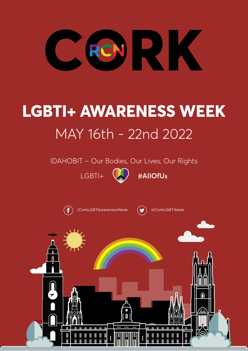

# **LGBTI+ AWARENESS WEEK** MAY 16th - 22nd 2022

IDAHOBIT – Our Bodies, Our Lives, Our Rights



LGBTI+  $\left(\begin{matrix} 1 \\ 2 \end{matrix}\right)$  #AllOfUs



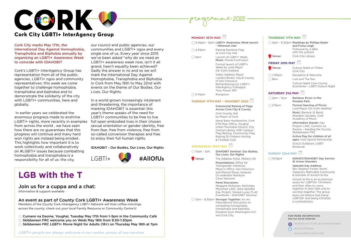Cork City marks May 17th, the International Day Against Homophobia, Transphobia and Biphobia annually by organising an LGBTI+ Awareness Week to coincide with IDAHOBIT

Cork's LGBTI+ InterAgency Group has representation from all of the public agencies, LGBTI+ ngos and community representatives: this week we come together to challenge homophobia, transphobia and biphobia and to demonstrate the solidarity of the city with LGBTI+ communities, here and globally.

 In earlier years we celebrated the enormous progress made to enshrine LGBTI+ rights, more recently in examples full open embodied lives in their chosen from across the world , we have seen how there are no guarantees that this progress will continue and many hard won rights are instead being eroded . This highlights how important it is to work collectively and collaboratively on #LGBTI+ issues because combatting homophobia and transphobia is a responsibility for all of us: the city,

our council and public agencies, our communities and LGBTI+ ngos and every single one of us. Every year since 2015 we've been asked "why do we need an LGBTI+ awareness week now, isn't it all grand, hasn't equality been achieved? Sadly the answer is no and so we will mark the International Day Against Homophobia, Transphobia and Biphobia in Cork from May 16th to May 22nd with events on the theme of Our Bodies, Our Lives, Our Rights.

5pm – 6.30pm Readings by Phillipa Ryder and Fiona Leigh Followed by a Q&A with the authors Venue: Cork City Library

In a world grown increasingly intolerant and threatening, the importance of marking IDAHOBIT is essential: this year's theme speaks of the need for LGBTI+ communities to be free to live sexual orientation or gender identity, free from fear, free from violence, free from so-called conversion therapies and free to enjoy their full human rights.

#### IDAHOBIT - Our Bodies, Our Lives, Our Rights

#### **MONDAY 16TH MAY**

|          | A.45pm - 6pm LGBTI+ Awareness Week launch<br>- Millenium Hall                                                                                |
|----------|----------------------------------------------------------------------------------------------------------------------------------------------|
| ે 4.45pm | Raising Rainbow Flag<br>at Cork City Hall                                                                                                    |
| ි 5pm    | Launch of LGBTI+ Week.<br><b>Music:</b> Choral ConFusion                                                                                     |
|          | Formal launch of LGBTI+<br>Week by Lord Mayor<br>Cllr Colm Kelleher                                                                          |
|          | Video Address Mayor<br>London Breed, City & County<br>of San Francisco<br>Remembering our LGBTI+<br>InterAgency Colleague<br>Tony Power, RIP |
| 5.45pm   | Reception                                                                                                                                    |

#### **TUESDAY 17TH MAY – IDAHOBIT 2022**

Ceremonial Raising of Flags Across Cork City & County Cork County Hall by Mayor of Cork Naval Base Haulbowline, Cork ETB Main Office, Youghal Urban Municipal Council, City Central Library, HSE Campus Flag Raising, Community Flag Raising St Finbarrs Hurling & Football Club

#### **WEDNESDAY 18TH MAY**

10am - 1pm IDAHOBIT Seminar: Our Bodies, Our Lives, Our Rights **Venue:** The Address Hotel, Military Hill Presentations: Office for Transgender Initiatives,

Mayor's Office, San Francisco and Manuel Rosas Vazquez Co-ordinator Rainbow Cities Network

#### Panel Discussion:

Margaret McKieran, MUH;Kate Moynihan LINC; Ailsa Spindler Gay Project, Sinead Lucey FLAC Eventbrite - IDAHOBIT Seminar

7pm – 8.30pm Stronger Together: An An

International Discussion on combating homophobia, transphobia and biphobia. Panalists from Washington D.C. and Cork City

#### **THURSDAY 17TH MAY**

#### **FRIDAY 20th MAY**

| O<br>Venue:    | Culture Night at Triskel,<br>Cork City                        |
|----------------|---------------------------------------------------------------|
| <b>⊙7:30pm</b> | Reception & Welcome                                           |
| ⊙8pm           | Lola and The Sea                                              |
|                | Culture Night Cork County<br>Eventbrite - LGBTI Culture Night |

#### **SATURDAY 21st MAY**

| $\odot$ 2pm – 5pm | Rainbow Picnic in the<br><b>Peoples Park</b>                                                           |
|-------------------|--------------------------------------------------------------------------------------------------------|
| 2.15pm            | <b>Formal Opening of Picnic:</b><br>Lord Mayor Cllr Colm Kelleher                                      |
|                   | Music: Barrack St Band,<br>Shandon Ukuleles, Cork<br>Academy of Music                                  |
|                   | Information Stands: Gay<br>Project, LINC, Cumann na<br>Daoine - Seeding the County,<br>Skibbereeen FRC |
|                   | Active Play for children of all<br>ages: Cork Sports Partnership                                       |
|                   | OutLit Outdoors: LGBTI<br><b>Bookclub</b>                                                              |
|                   | abbilities.                                                                                            |

#### **SUNDAY 22nd MAY**

| 10.15pm | <b>IDAHOT/IDAHOBIT Day Service</b><br><b>St Annes Shandon</b>                                                                                                                                                                                |
|---------|----------------------------------------------------------------------------------------------------------------------------------------------------------------------------------------------------------------------------------------------|
|         | <b>Idahobit Day Address:</b><br>Rev Stephen Foster, North<br><b>Tipperary Methodist Community</b><br>& member of Amach le Dia                                                                                                                |
|         | Amach le Dia is an ecumenical<br>space for LGBTIQ+ Christians<br>and their allies to come<br>together in their faith and to<br>worship together. The group<br>does not believe that being<br>LGBTIQ+ and being Christian<br>is contradictory |

#### FOR MORE INFORMATION: See our social channels



facebook.com/CorkLgbtAwarenessWeek/ @CorkLGBTweek

#CorkLGBTI22 #IDAHOBIT

**Programme 2022**



## **LGB with the T**

### Join us for a cuppa and a chat:

information & support available

#### An event as part of County Cork LGBTI+ Awareness Week

Members of the County Cork Interagency LGBT+ Network will host coffee mornings across the county: check out your local Family Resource or Community Centre's!

Cumann na Daoine, Youghal, Tuesday May 17th from 1-3pm in the Community Café Skibbereen FRC welcome you on Weds May 18th from 9:30-1:30pm Skibbereen FRC LGBTI+ Movie Night for Adults (18+) on Thursday May 18th at 7pm

*LGBTI+ people are always welcome in our centre, across all our services*